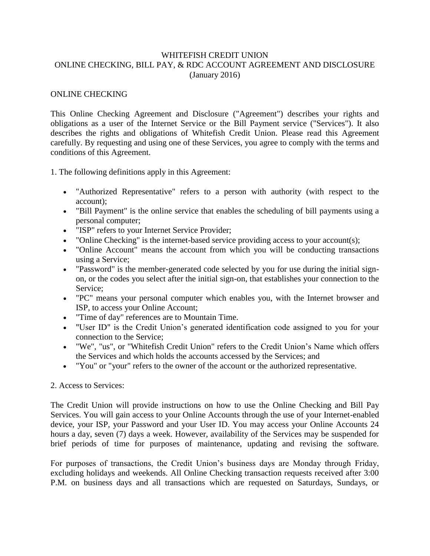# WHITEFISH CREDIT UNION ONLINE CHECKING, BILL PAY, & RDC ACCOUNT AGREEMENT AND DISCLOSURE (January 2016)

## ONLINE CHECKING

This Online Checking Agreement and Disclosure ("Agreement") describes your rights and obligations as a user of the Internet Service or the Bill Payment service ("Services"). It also describes the rights and obligations of Whitefish Credit Union. Please read this Agreement carefully. By requesting and using one of these Services, you agree to comply with the terms and conditions of this Agreement.

1. The following definitions apply in this Agreement:

- "Authorized Representative" refers to a person with authority (with respect to the account);
- "Bill Payment" is the online service that enables the scheduling of bill payments using a personal computer;
- "ISP" refers to your Internet Service Provider;
- "Online Checking" is the internet-based service providing access to your account(s);
- "Online Account" means the account from which you will be conducting transactions using a Service;
- "Password" is the member-generated code selected by you for use during the initial signon, or the codes you select after the initial sign-on, that establishes your connection to the Service;
- "PC" means your personal computer which enables you, with the Internet browser and ISP, to access your Online Account;
- "Time of day" references are to Mountain Time.
- "User ID" is the Credit Union's generated identification code assigned to you for your connection to the Service;
- "We", "us", or "Whitefish Credit Union" refers to the Credit Union's Name which offers the Services and which holds the accounts accessed by the Services; and
- "You" or "your" refers to the owner of the account or the authorized representative.

#### 2. Access to Services:

The Credit Union will provide instructions on how to use the Online Checking and Bill Pay Services. You will gain access to your Online Accounts through the use of your Internet-enabled device, your ISP, your Password and your User ID. You may access your Online Accounts 24 hours a day, seven (7) days a week. However, availability of the Services may be suspended for brief periods of time for purposes of maintenance, updating and revising the software.

For purposes of transactions, the Credit Union's business days are Monday through Friday, excluding holidays and weekends. All Online Checking transaction requests received after 3:00 P.M. on business days and all transactions which are requested on Saturdays, Sundays, or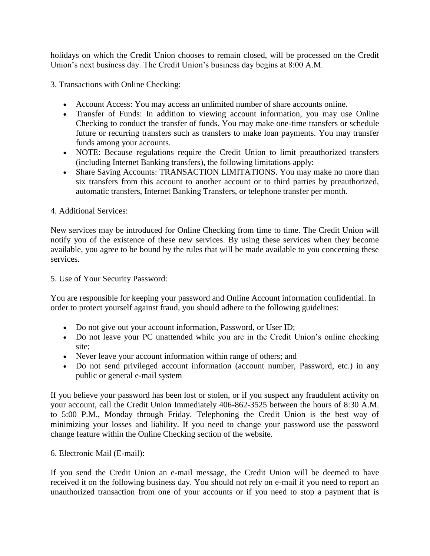holidays on which the Credit Union chooses to remain closed, will be processed on the Credit Union's next business day. The Credit Union's business day begins at 8:00 A.M.

3. Transactions with Online Checking:

- Account Access: You may access an unlimited number of share accounts online.
- Transfer of Funds: In addition to viewing account information, you may use Online Checking to conduct the transfer of funds. You may make one-time transfers or schedule future or recurring transfers such as transfers to make loan payments. You may transfer funds among your accounts.
- NOTE: Because regulations require the Credit Union to limit preauthorized transfers (including Internet Banking transfers), the following limitations apply:
- Share Saving Accounts: TRANSACTION LIMITATIONS. You may make no more than six transfers from this account to another account or to third parties by preauthorized, automatic transfers, Internet Banking Transfers, or telephone transfer per month.

# 4. Additional Services:

New services may be introduced for Online Checking from time to time. The Credit Union will notify you of the existence of these new services. By using these services when they become available, you agree to be bound by the rules that will be made available to you concerning these services.

5. Use of Your Security Password:

You are responsible for keeping your password and Online Account information confidential. In order to protect yourself against fraud, you should adhere to the following guidelines:

- Do not give out your account information, Password, or User ID;
- Do not leave your PC unattended while you are in the Credit Union's online checking site;
- Never leave your account information within range of others; and
- Do not send privileged account information (account number, Password, etc.) in any public or general e-mail system

If you believe your password has been lost or stolen, or if you suspect any fraudulent activity on your account, call the Credit Union Immediately 406-862-3525 between the hours of 8:30 A.M. to 5:00 P.M., Monday through Friday. Telephoning the Credit Union is the best way of minimizing your losses and liability. If you need to change your password use the password change feature within the Online Checking section of the website.

6. Electronic Mail (E-mail):

If you send the Credit Union an e-mail message, the Credit Union will be deemed to have received it on the following business day. You should not rely on e-mail if you need to report an unauthorized transaction from one of your accounts or if you need to stop a payment that is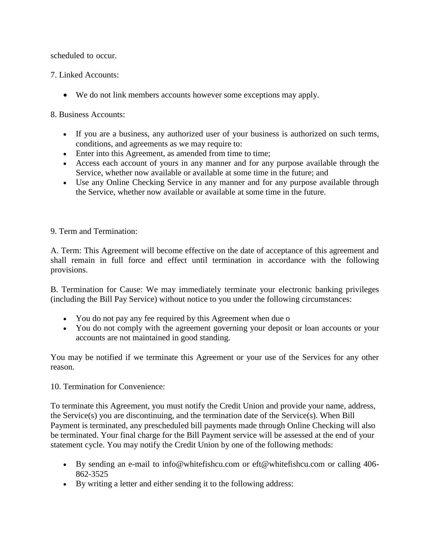scheduled to occur.

7. Linked Accounts:

We do not link members accounts however some exceptions may apply.

8. Business Accounts:

- If you are a business, any authorized user of your business is authorized on such terms, conditions, and agreements as we may require to:
- Enter into this Agreement, as amended from time to time;
- Access each account of yours in any manner and for any purpose available through the Service, whether now available or available at some time in the future; and
- Use any Online Checking Service in any manner and for any purpose available through the Service, whether now available or available at some time in the future.

9. Term and Termination:

A. Term: This Agreement will become effective on the date of acceptance of this agreement and shall remain in full force and effect until termination in accordance with the following provisions.

B. Termination for Cause: We may immediately terminate your electronic banking privileges (including the Bill Pay Service) without notice to you under the following circumstances:

- You do not pay any fee required by this Agreement when due o
- You do not comply with the agreement governing your deposit or loan accounts or your accounts are not maintained in good standing.

You may be notified if we terminate this Agreement or your use of the Services for any other reason.

10. Termination for Convenience:

To terminate this Agreement, you must notify the Credit Union and provide your name, address, the Service(s) you are discontinuing, and the termination date of the Service(s). When Bill Payment is terminated, any prescheduled bill payments made through Online Checking will also be terminated. Your final charge for the Bill Payment service will be assessed at the end of your statement cycle. You may notify the Credit Union by one of the following methods:

- By sending an e-mail to info@whitefishcu.com or eft@whitefishcu.com or calling 406- 862-3525
- By writing a letter and either sending it to the following address: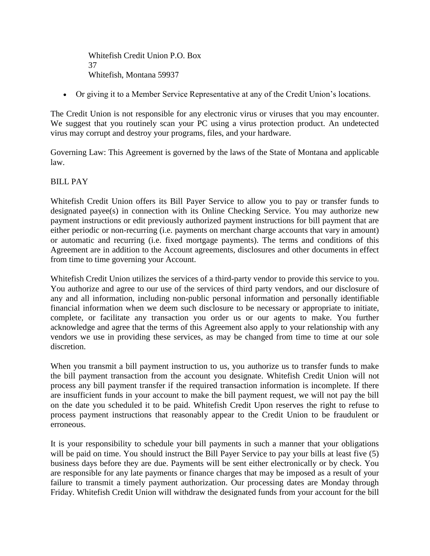Whitefish Credit Union P.O. Box 37 Whitefish, Montana 59937

Or giving it to a Member Service Representative at any of the Credit Union's locations.

The Credit Union is not responsible for any electronic virus or viruses that you may encounter. We suggest that you routinely scan your PC using a virus protection product. An undetected virus may corrupt and destroy your programs, files, and your hardware.

Governing Law: This Agreement is governed by the laws of the State of Montana and applicable law.

## BILL PAY

Whitefish Credit Union offers its Bill Payer Service to allow you to pay or transfer funds to designated payee(s) in connection with its Online Checking Service. You may authorize new payment instructions or edit previously authorized payment instructions for bill payment that are either periodic or non-recurring (i.e. payments on merchant charge accounts that vary in amount) or automatic and recurring (i.e. fixed mortgage payments). The terms and conditions of this Agreement are in addition to the Account agreements, disclosures and other documents in effect from time to time governing your Account.

Whitefish Credit Union utilizes the services of a third-party vendor to provide this service to you. You authorize and agree to our use of the services of third party vendors, and our disclosure of any and all information, including non-public personal information and personally identifiable financial information when we deem such disclosure to be necessary or appropriate to initiate, complete, or facilitate any transaction you order us or our agents to make. You further acknowledge and agree that the terms of this Agreement also apply to your relationship with any vendors we use in providing these services, as may be changed from time to time at our sole discretion.

When you transmit a bill payment instruction to us, you authorize us to transfer funds to make the bill payment transaction from the account you designate. Whitefish Credit Union will not process any bill payment transfer if the required transaction information is incomplete. If there are insufficient funds in your account to make the bill payment request, we will not pay the bill on the date you scheduled it to be paid. Whitefish Credit Upon reserves the right to refuse to process payment instructions that reasonably appear to the Credit Union to be fraudulent or erroneous.

It is your responsibility to schedule your bill payments in such a manner that your obligations will be paid on time. You should instruct the Bill Payer Service to pay your bills at least five (5) business days before they are due. Payments will be sent either electronically or by check. You are responsible for any late payments or finance charges that may be imposed as a result of your failure to transmit a timely payment authorization. Our processing dates are Monday through Friday. Whitefish Credit Union will withdraw the designated funds from your account for the bill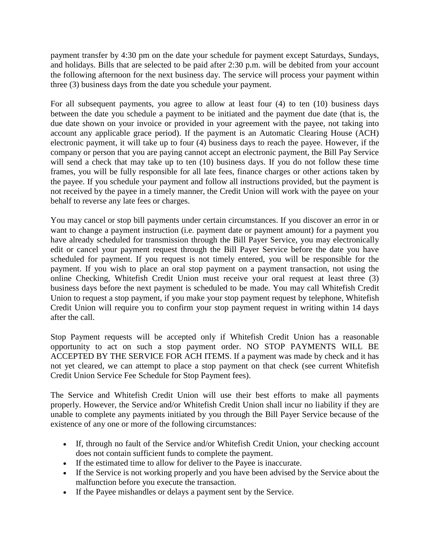payment transfer by 4:30 pm on the date your schedule for payment except Saturdays, Sundays, and holidays. Bills that are selected to be paid after 2:30 p.m. will be debited from your account the following afternoon for the next business day. The service will process your payment within three (3) business days from the date you schedule your payment.

For all subsequent payments, you agree to allow at least four (4) to ten (10) business days between the date you schedule a payment to be initiated and the payment due date (that is, the due date shown on your invoice or provided in your agreement with the payee, not taking into account any applicable grace period). If the payment is an Automatic Clearing House (ACH) electronic payment, it will take up to four (4) business days to reach the payee. However, if the company or person that you are paying cannot accept an electronic payment, the Bill Pay Service will send a check that may take up to ten  $(10)$  business days. If you do not follow these time frames, you will be fully responsible for all late fees, finance charges or other actions taken by the payee. If you schedule your payment and follow all instructions provided, but the payment is not received by the payee in a timely manner, the Credit Union will work with the payee on your behalf to reverse any late fees or charges.

You may cancel or stop bill payments under certain circumstances. If you discover an error in or want to change a payment instruction (i.e. payment date or payment amount) for a payment you have already scheduled for transmission through the Bill Payer Service, you may electronically edit or cancel your payment request through the Bill Payer Service before the date you have scheduled for payment. If you request is not timely entered, you will be responsible for the payment. If you wish to place an oral stop payment on a payment transaction, not using the online Checking, Whitefish Credit Union must receive your oral request at least three (3) business days before the next payment is scheduled to be made. You may call Whitefish Credit Union to request a stop payment, if you make your stop payment request by telephone, Whitefish Credit Union will require you to confirm your stop payment request in writing within 14 days after the call.

Stop Payment requests will be accepted only if Whitefish Credit Union has a reasonable opportunity to act on such a stop payment order. NO STOP PAYMENTS WILL BE ACCEPTED BY THE SERVICE FOR ACH ITEMS. If a payment was made by check and it has not yet cleared, we can attempt to place a stop payment on that check (see current Whitefish Credit Union Service Fee Schedule for Stop Payment fees).

The Service and Whitefish Credit Union will use their best efforts to make all payments properly. However, the Service and/or Whitefish Credit Union shall incur no liability if they are unable to complete any payments initiated by you through the Bill Payer Service because of the existence of any one or more of the following circumstances:

- If, through no fault of the Service and/or Whitefish Credit Union, your checking account does not contain sufficient funds to complete the payment.
- If the estimated time to allow for deliver to the Payee is inaccurate.
- If the Service is not working properly and you have been advised by the Service about the malfunction before you execute the transaction.
- If the Payee mishandles or delays a payment sent by the Service.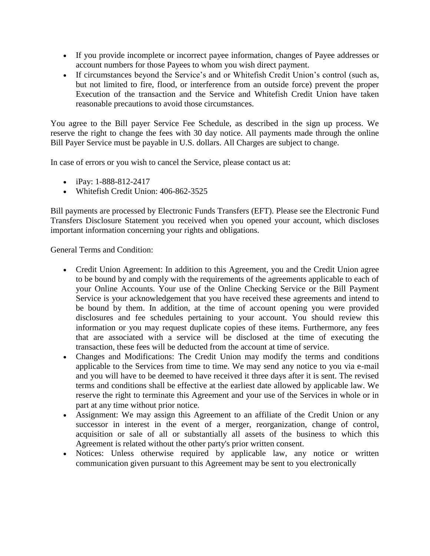- If you provide incomplete or incorrect payee information, changes of Payee addresses or account numbers for those Payees to whom you wish direct payment.
- If circumstances beyond the Service's and or Whitefish Credit Union's control (such as, but not limited to fire, flood, or interference from an outside force) prevent the proper Execution of the transaction and the Service and Whitefish Credit Union have taken reasonable precautions to avoid those circumstances.

You agree to the Bill payer Service Fee Schedule, as described in the sign up process. We reserve the right to change the fees with 30 day notice. All payments made through the online Bill Payer Service must be payable in U.S. dollars. All Charges are subject to change.

In case of errors or you wish to cancel the Service, please contact us at:

- $\bullet$  iPay: 1-888-812-2417
- Whitefish Credit Union: 406-862-3525

Bill payments are processed by Electronic Funds Transfers (EFT). Please see the Electronic Fund Transfers Disclosure Statement you received when you opened your account, which discloses important information concerning your rights and obligations.

General Terms and Condition:

- Credit Union Agreement: In addition to this Agreement, you and the Credit Union agree to be bound by and comply with the requirements of the agreements applicable to each of your Online Accounts. Your use of the Online Checking Service or the Bill Payment Service is your acknowledgement that you have received these agreements and intend to be bound by them. In addition, at the time of account opening you were provided disclosures and fee schedules pertaining to your account. You should review this information or you may request duplicate copies of these items. Furthermore, any fees that are associated with a service will be disclosed at the time of executing the transaction, these fees will be deducted from the account at time of service.
- Changes and Modifications: The Credit Union may modify the terms and conditions applicable to the Services from time to time. We may send any notice to you via e-mail and you will have to be deemed to have received it three days after it is sent. The revised terms and conditions shall be effective at the earliest date allowed by applicable law. We reserve the right to terminate this Agreement and your use of the Services in whole or in part at any time without prior notice.
- Assignment: We may assign this Agreement to an affiliate of the Credit Union or any successor in interest in the event of a merger, reorganization, change of control, acquisition or sale of all or substantially all assets of the business to which this Agreement is related without the other party's prior written consent.
- Notices: Unless otherwise required by applicable law, any notice or written communication given pursuant to this Agreement may be sent to you electronically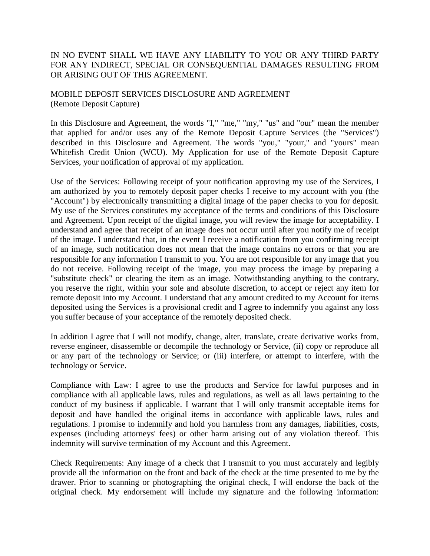# IN NO EVENT SHALL WE HAVE ANY LIABILITY TO YOU OR ANY THIRD PARTY FOR ANY INDIRECT, SPECIAL OR CONSEQUENTIAL DAMAGES RESULTING FROM OR ARISING OUT OF THIS AGREEMENT.

MOBILE DEPOSIT SERVICES DISCLOSURE AND AGREEMENT (Remote Deposit Capture)

In this Disclosure and Agreement, the words "I," "me," "my," "us" and "our" mean the member that applied for and/or uses any of the Remote Deposit Capture Services (the "Services") described in this Disclosure and Agreement. The words "you," "your," and "yours" mean Whitefish Credit Union (WCU). My Application for use of the Remote Deposit Capture Services, your notification of approval of my application.

Use of the Services: Following receipt of your notification approving my use of the Services, I am authorized by you to remotely deposit paper checks I receive to my account with you (the "Account") by electronically transmitting a digital image of the paper checks to you for deposit. My use of the Services constitutes my acceptance of the terms and conditions of this Disclosure and Agreement. Upon receipt of the digital image, you will review the image for acceptability. I understand and agree that receipt of an image does not occur until after you notify me of receipt of the image. I understand that, in the event I receive a notification from you confirming receipt of an image, such notification does not mean that the image contains no errors or that you are responsible for any information I transmit to you. You are not responsible for any image that you do not receive. Following receipt of the image, you may process the image by preparing a "substitute check" or clearing the item as an image. Notwithstanding anything to the contrary, you reserve the right, within your sole and absolute discretion, to accept or reject any item for remote deposit into my Account. I understand that any amount credited to my Account for items deposited using the Services is a provisional credit and I agree to indemnify you against any loss you suffer because of your acceptance of the remotely deposited check.

In addition I agree that I will not modify, change, alter, translate, create derivative works from, reverse engineer, disassemble or decompile the technology or Service, (ii) copy or reproduce all or any part of the technology or Service; or (iii) interfere, or attempt to interfere, with the technology or Service.

Compliance with Law: I agree to use the products and Service for lawful purposes and in compliance with all applicable laws, rules and regulations, as well as all laws pertaining to the conduct of my business if applicable. I warrant that I will only transmit acceptable items for deposit and have handled the original items in accordance with applicable laws, rules and regulations. I promise to indemnify and hold you harmless from any damages, liabilities, costs, expenses (including attorneys' fees) or other harm arising out of any violation thereof. This indemnity will survive termination of my Account and this Agreement.

Check Requirements: Any image of a check that I transmit to you must accurately and legibly provide all the information on the front and back of the check at the time presented to me by the drawer. Prior to scanning or photographing the original check, I will endorse the back of the original check. My endorsement will include my signature and the following information: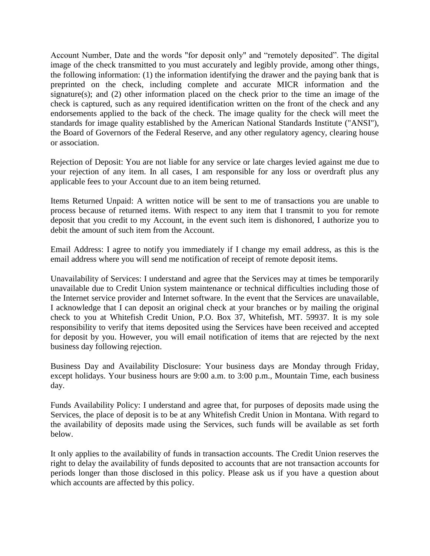Account Number, Date and the words "for deposit only" and "remotely deposited". The digital image of the check transmitted to you must accurately and legibly provide, among other things, the following information: (1) the information identifying the drawer and the paying bank that is preprinted on the check, including complete and accurate MICR information and the signature(s); and (2) other information placed on the check prior to the time an image of the check is captured, such as any required identification written on the front of the check and any endorsements applied to the back of the check. The image quality for the check will meet the standards for image quality established by the American National Standards Institute ("ANSI"), the Board of Governors of the Federal Reserve, and any other regulatory agency, clearing house or association.

Rejection of Deposit: You are not liable for any service or late charges levied against me due to your rejection of any item. In all cases, I am responsible for any loss or overdraft plus any applicable fees to your Account due to an item being returned.

Items Returned Unpaid: A written notice will be sent to me of transactions you are unable to process because of returned items. With respect to any item that I transmit to you for remote deposit that you credit to my Account, in the event such item is dishonored, I authorize you to debit the amount of such item from the Account.

Email Address: I agree to notify you immediately if I change my email address, as this is the email address where you will send me notification of receipt of remote deposit items.

Unavailability of Services: I understand and agree that the Services may at times be temporarily unavailable due to Credit Union system maintenance or technical difficulties including those of the Internet service provider and Internet software. In the event that the Services are unavailable, I acknowledge that I can deposit an original check at your branches or by mailing the original check to you at Whitefish Credit Union, P.O. Box 37, Whitefish, MT. 59937. It is my sole responsibility to verify that items deposited using the Services have been received and accepted for deposit by you. However, you will email notification of items that are rejected by the next business day following rejection.

Business Day and Availability Disclosure: Your business days are Monday through Friday, except holidays. Your business hours are 9:00 a.m. to 3:00 p.m., Mountain Time, each business day.

Funds Availability Policy: I understand and agree that, for purposes of deposits made using the Services, the place of deposit is to be at any Whitefish Credit Union in Montana. With regard to the availability of deposits made using the Services, such funds will be available as set forth below.

It only applies to the availability of funds in transaction accounts. The Credit Union reserves the right to delay the availability of funds deposited to accounts that are not transaction accounts for periods longer than those disclosed in this policy. Please ask us if you have a question about which accounts are affected by this policy.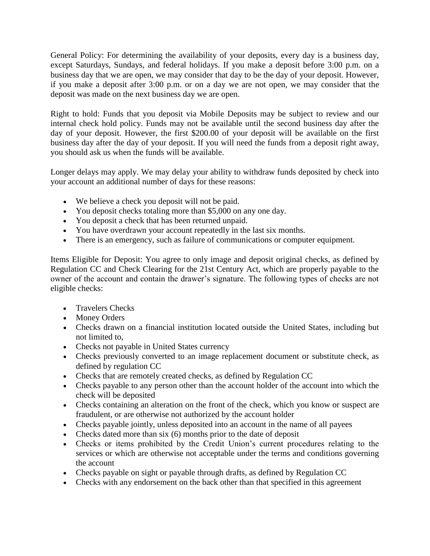General Policy: For determining the availability of your deposits, every day is a business day, except Saturdays, Sundays, and federal holidays. If you make a deposit before 3:00 p.m. on a business day that we are open, we may consider that day to be the day of your deposit. However, if you make a deposit after 3:00 p.m. or on a day we are not open, we may consider that the deposit was made on the next business day we are open.

Right to hold: Funds that you deposit via Mobile Deposits may be subject to review and our internal check hold policy. Funds may not be available until the second business day after the day of your deposit. However, the first \$200.00 of your deposit will be available on the first business day after the day of your deposit. If you will need the funds from a deposit right away, you should ask us when the funds will be available.

Longer delays may apply. We may delay your ability to withdraw funds deposited by check into your account an additional number of days for these reasons:

- We believe a check you deposit will not be paid.
- You deposit checks totaling more than \$5,000 on any one day.
- You deposit a check that has been returned unpaid.
- You have overdrawn your account repeatedly in the last six months.
- There is an emergency, such as failure of communications or computer equipment.

Items Eligible for Deposit: You agree to only image and deposit original checks, as defined by Regulation CC and Check Clearing for the 21st Century Act, which are properly payable to the owner of the account and contain the drawer's signature. The following types of checks are not eligible checks:

- Travelers Checks
- Money Orders
- Checks drawn on a financial institution located outside the United States, including but not limited to,
- Checks not payable in United States currency
- Checks previously converted to an image replacement document or substitute check, as defined by regulation CC
- Checks that are remotely created checks, as defined by Regulation CC
- Checks payable to any person other than the account holder of the account into which the check will be deposited
- Checks containing an alteration on the front of the check, which you know or suspect are fraudulent, or are otherwise not authorized by the account holder
- Checks payable jointly, unless deposited into an account in the name of all payees
- $\bullet$  Checks dated more than six (6) months prior to the date of deposit
- Checks or items prohibited by the Credit Union's current procedures relating to the services or which are otherwise not acceptable under the terms and conditions governing the account
- Checks payable on sight or payable through drafts, as defined by Regulation CC
- Checks with any endorsement on the back other than that specified in this agreement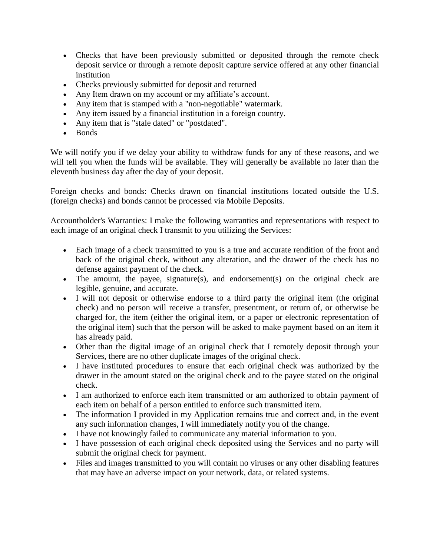- Checks that have been previously submitted or deposited through the remote check deposit service or through a remote deposit capture service offered at any other financial institution
- Checks previously submitted for deposit and returned
- Any Item drawn on my account or my affiliate's account.
- Any item that is stamped with a "non-negotiable" watermark.
- Any item issued by a financial institution in a foreign country.
- Any item that is "stale dated" or "postdated".
- Bonds

We will notify you if we delay your ability to withdraw funds for any of these reasons, and we will tell you when the funds will be available. They will generally be available no later than the eleventh business day after the day of your deposit.

Foreign checks and bonds: Checks drawn on financial institutions located outside the U.S. (foreign checks) and bonds cannot be processed via Mobile Deposits.

Accountholder's Warranties: I make the following warranties and representations with respect to each image of an original check I transmit to you utilizing the Services:

- Each image of a check transmitted to you is a true and accurate rendition of the front and back of the original check, without any alteration, and the drawer of the check has no defense against payment of the check.
- The amount, the payee, signature(s), and endorsement(s) on the original check are legible, genuine, and accurate.
- I will not deposit or otherwise endorse to a third party the original item (the original check) and no person will receive a transfer, presentment, or return of, or otherwise be charged for, the item (either the original item, or a paper or electronic representation of the original item) such that the person will be asked to make payment based on an item it has already paid.
- Other than the digital image of an original check that I remotely deposit through your Services, there are no other duplicate images of the original check.
- I have instituted procedures to ensure that each original check was authorized by the drawer in the amount stated on the original check and to the payee stated on the original check.
- I am authorized to enforce each item transmitted or am authorized to obtain payment of each item on behalf of a person entitled to enforce such transmitted item.
- The information I provided in my Application remains true and correct and, in the event any such information changes, I will immediately notify you of the change.
- I have not knowingly failed to communicate any material information to you.
- I have possession of each original check deposited using the Services and no party will submit the original check for payment.
- Files and images transmitted to you will contain no viruses or any other disabling features that may have an adverse impact on your network, data, or related systems.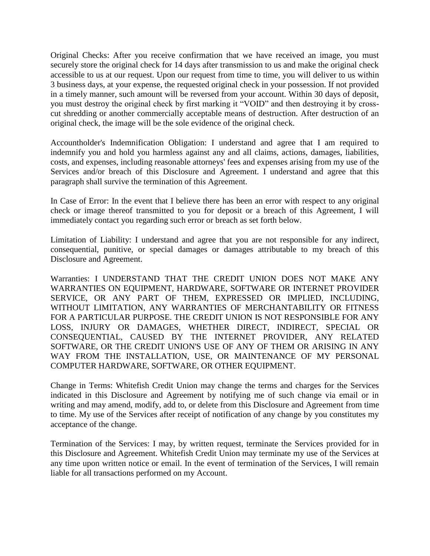Original Checks: After you receive confirmation that we have received an image, you must securely store the original check for 14 days after transmission to us and make the original check accessible to us at our request. Upon our request from time to time, you will deliver to us within 3 business days, at your expense, the requested original check in your possession. If not provided in a timely manner, such amount will be reversed from your account. Within 30 days of deposit, you must destroy the original check by first marking it "VOID" and then destroying it by crosscut shredding or another commercially acceptable means of destruction. After destruction of an original check, the image will be the sole evidence of the original check.

Accountholder's Indemnification Obligation: I understand and agree that I am required to indemnify you and hold you harmless against any and all claims, actions, damages, liabilities, costs, and expenses, including reasonable attorneys' fees and expenses arising from my use of the Services and/or breach of this Disclosure and Agreement. I understand and agree that this paragraph shall survive the termination of this Agreement.

In Case of Error: In the event that I believe there has been an error with respect to any original check or image thereof transmitted to you for deposit or a breach of this Agreement, I will immediately contact you regarding such error or breach as set forth below.

Limitation of Liability: I understand and agree that you are not responsible for any indirect, consequential, punitive, or special damages or damages attributable to my breach of this Disclosure and Agreement.

Warranties: I UNDERSTAND THAT THE CREDIT UNION DOES NOT MAKE ANY WARRANTIES ON EQUIPMENT, HARDWARE, SOFTWARE OR INTERNET PROVIDER SERVICE, OR ANY PART OF THEM, EXPRESSED OR IMPLIED, INCLUDING, WITHOUT LIMITATION, ANY WARRANTIES OF MERCHANTABILITY OR FITNESS FOR A PARTICULAR PURPOSE. THE CREDIT UNION IS NOT RESPONSIBLE FOR ANY LOSS, INJURY OR DAMAGES, WHETHER DIRECT, INDIRECT, SPECIAL OR CONSEQUENTIAL, CAUSED BY THE INTERNET PROVIDER, ANY RELATED SOFTWARE, OR THE CREDIT UNION'S USE OF ANY OF THEM OR ARISING IN ANY WAY FROM THE INSTALLATION, USE, OR MAINTENANCE OF MY PERSONAL COMPUTER HARDWARE, SOFTWARE, OR OTHER EQUIPMENT.

Change in Terms: Whitefish Credit Union may change the terms and charges for the Services indicated in this Disclosure and Agreement by notifying me of such change via email or in writing and may amend, modify, add to, or delete from this Disclosure and Agreement from time to time. My use of the Services after receipt of notification of any change by you constitutes my acceptance of the change.

Termination of the Services: I may, by written request, terminate the Services provided for in this Disclosure and Agreement. Whitefish Credit Union may terminate my use of the Services at any time upon written notice or email. In the event of termination of the Services, I will remain liable for all transactions performed on my Account.